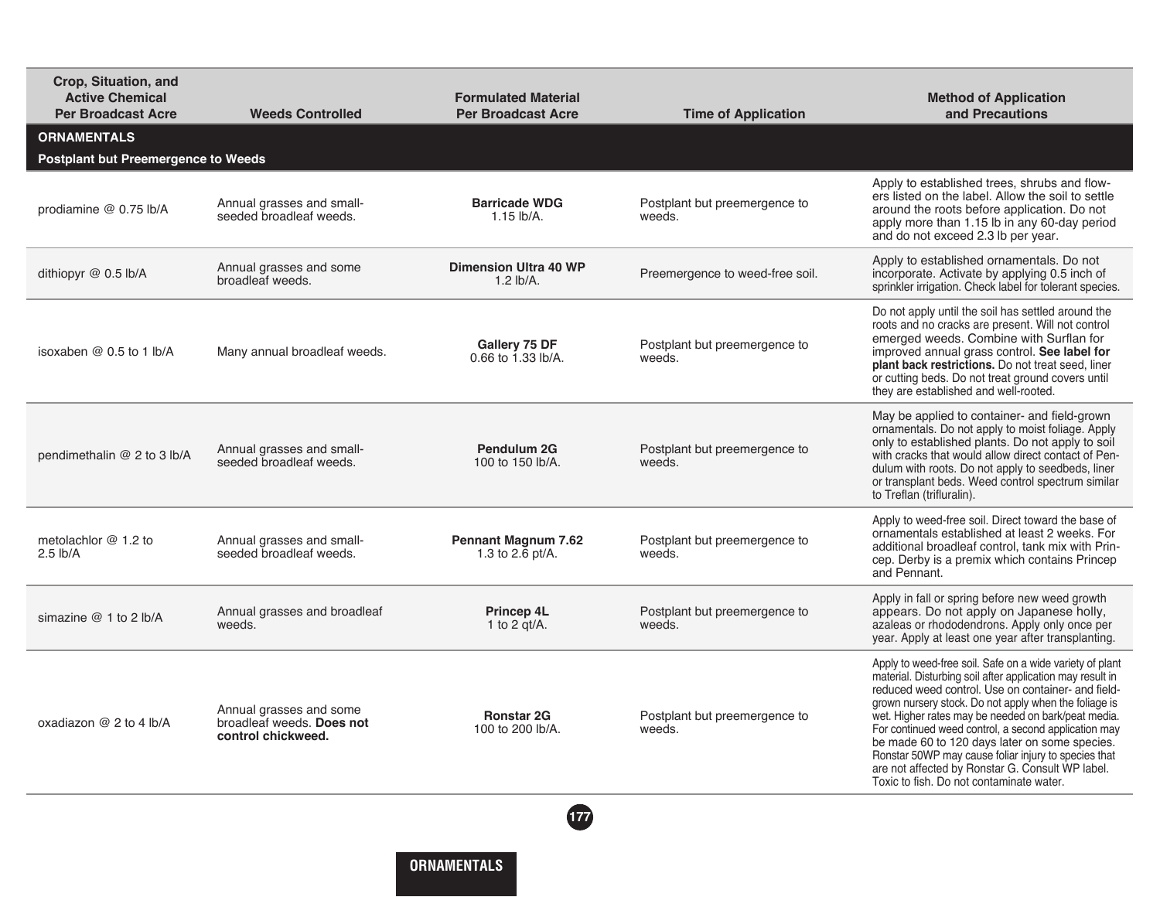| Crop, Situation, and<br><b>Active Chemical</b><br><b>Per Broadcast Acre</b> | <b>Weeds Controlled</b>                                                    | <b>Formulated Material</b><br><b>Per Broadcast Acre</b> | <b>Time of Application</b>              | <b>Method of Application</b><br>and Precautions                                                                                                                                                                                                                                                                                                                                                                                                                                                                                                              |  |  |  |
|-----------------------------------------------------------------------------|----------------------------------------------------------------------------|---------------------------------------------------------|-----------------------------------------|--------------------------------------------------------------------------------------------------------------------------------------------------------------------------------------------------------------------------------------------------------------------------------------------------------------------------------------------------------------------------------------------------------------------------------------------------------------------------------------------------------------------------------------------------------------|--|--|--|
| <b>ORNAMENTALS</b><br><b>Postplant but Preemergence to Weeds</b>            |                                                                            |                                                         |                                         |                                                                                                                                                                                                                                                                                                                                                                                                                                                                                                                                                              |  |  |  |
| prodiamine @ 0.75 lb/A                                                      | Annual grasses and small-<br>seeded broadleaf weeds.                       | <b>Barricade WDG</b><br>$1.15$ lb/A.                    | Postplant but preemergence to<br>weeds. | Apply to established trees, shrubs and flow-<br>ers listed on the label. Allow the soil to settle<br>around the roots before application. Do not<br>apply more than 1.15 lb in any 60-day period<br>and do not exceed 2.3 lb per year.                                                                                                                                                                                                                                                                                                                       |  |  |  |
| dithiopyr @ 0.5 lb/A                                                        | Annual grasses and some<br>broadleaf weeds.                                | <b>Dimension Ultra 40 WP</b><br>$1.2$ lb/A.             | Preemergence to weed-free soil.         | Apply to established ornamentals. Do not<br>incorporate. Activate by applying 0.5 inch of<br>sprinkler irrigation. Check label for tolerant species.                                                                                                                                                                                                                                                                                                                                                                                                         |  |  |  |
| isoxaben @ 0.5 to 1 lb/A                                                    | Many annual broadleaf weeds.                                               | Gallery 75 DF<br>0.66 to 1.33 lb/A.                     | Postplant but preemergence to<br>weeds. | Do not apply until the soil has settled around the<br>roots and no cracks are present. Will not control<br>emerged weeds. Combine with Surflan for<br>improved annual grass control. See label for<br>plant back restrictions. Do not treat seed, liner<br>or cutting beds. Do not treat ground covers until<br>they are established and well-rooted.                                                                                                                                                                                                        |  |  |  |
| pendimethalin @ 2 to 3 lb/A                                                 | Annual grasses and small-<br>seeded broadleaf weeds.                       | Pendulum 2G<br>100 to 150 lb/A.                         | Postplant but preemergence to<br>weeds. | May be applied to container- and field-grown<br>ornamentals. Do not apply to moist foliage. Apply<br>only to established plants. Do not apply to soil<br>with cracks that would allow direct contact of Pen-<br>dulum with roots. Do not apply to seedbeds, liner<br>or transplant beds. Weed control spectrum similar<br>to Treflan (trifluralin).                                                                                                                                                                                                          |  |  |  |
| metolachlor $@1.2$ to<br>$2.5$ lb/A                                         | Annual grasses and small-<br>seeded broadleaf weeds.                       | <b>Pennant Magnum 7.62</b><br>1.3 to 2.6 pt/A.          | Postplant but preemergence to<br>weeds. | Apply to weed-free soil. Direct toward the base of<br>ornamentals established at least 2 weeks. For<br>additional broadleaf control, tank mix with Prin-<br>cep. Derby is a premix which contains Princep<br>and Pennant.                                                                                                                                                                                                                                                                                                                                    |  |  |  |
| simazine $@1$ to 2 lb/A                                                     | Annual grasses and broadleaf<br>weeds.                                     | <b>Princep 4L</b><br>1 to 2 $qt/A$ .                    | Postplant but preemergence to<br>weeds. | Apply in fall or spring before new weed growth<br>appears. Do not apply on Japanese holly,<br>azaleas or rhododendrons. Apply only once per<br>year. Apply at least one year after transplanting.                                                                                                                                                                                                                                                                                                                                                            |  |  |  |
| oxadiazon @ 2 to 4 lb/A                                                     | Annual grasses and some<br>broadleaf weeds. Does not<br>control chickweed. | <b>Ronstar 2G</b><br>100 to 200 lb/A.                   | Postplant but preemergence to<br>weeds. | Apply to weed-free soil. Safe on a wide variety of plant<br>material. Disturbing soil after application may result in<br>reduced weed control. Use on container- and field-<br>grown nursery stock. Do not apply when the foliage is<br>wet. Higher rates may be needed on bark/peat media.<br>For continued weed control, a second application may<br>be made 60 to 120 days later on some species.<br>Ronstar 50WP may cause foliar injury to species that<br>are not affected by Ronstar G. Consult WP label.<br>Toxic to fish. Do not contaminate water. |  |  |  |
| 177                                                                         |                                                                            |                                                         |                                         |                                                                                                                                                                                                                                                                                                                                                                                                                                                                                                                                                              |  |  |  |

**ORNAMENTALS**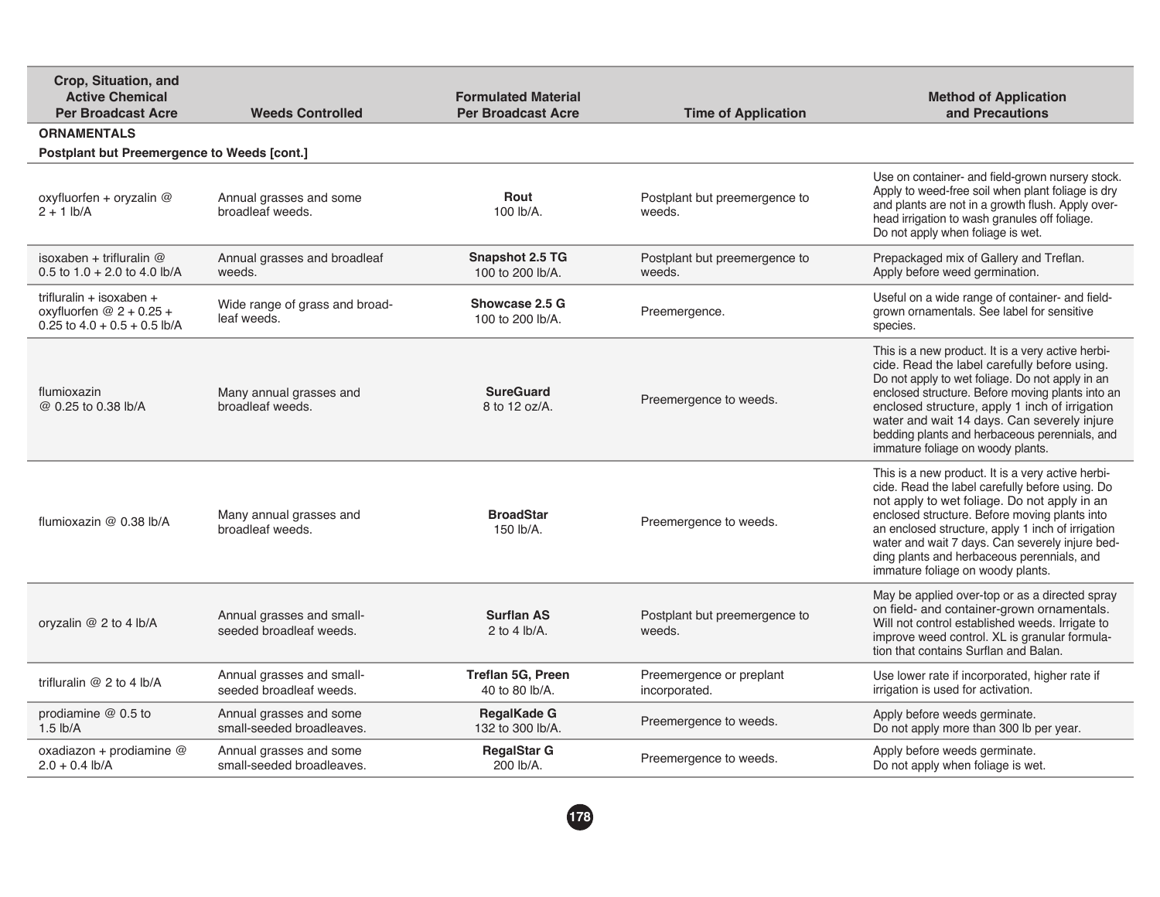| Crop, Situation, and<br><b>Active Chemical</b><br><b>Per Broadcast Acre</b>             | <b>Weeds Controlled</b>                              | <b>Formulated Material</b><br><b>Per Broadcast Acre</b> | <b>Time of Application</b>                | <b>Method of Application</b><br>and Precautions                                                                                                                                                                                                                                                                                                                                                  |  |  |  |
|-----------------------------------------------------------------------------------------|------------------------------------------------------|---------------------------------------------------------|-------------------------------------------|--------------------------------------------------------------------------------------------------------------------------------------------------------------------------------------------------------------------------------------------------------------------------------------------------------------------------------------------------------------------------------------------------|--|--|--|
| <b>ORNAMENTALS</b>                                                                      |                                                      |                                                         |                                           |                                                                                                                                                                                                                                                                                                                                                                                                  |  |  |  |
| Postplant but Preemergence to Weeds [cont.]                                             |                                                      |                                                         |                                           |                                                                                                                                                                                                                                                                                                                                                                                                  |  |  |  |
| oxyfluorfen + oryzalin $@$<br>$2 + 1$ lb/A                                              | Annual grasses and some<br>broadleaf weeds.          | Rout<br>100 lb/A.                                       | Postplant but preemergence to<br>weeds.   | Use on container- and field-grown nursery stock.<br>Apply to weed-free soil when plant foliage is dry<br>and plants are not in a growth flush. Apply over-<br>head irrigation to wash granules off foliage.<br>Do not apply when foliage is wet.                                                                                                                                                 |  |  |  |
| isoxaben + trifluralin @<br>0.5 to $1.0 + 2.0$ to 4.0 lb/A                              | Annual grasses and broadleaf<br>weeds.               | <b>Snapshot 2.5 TG</b><br>100 to 200 lb/A.              | Postplant but preemergence to<br>weeds.   | Prepackaged mix of Gallery and Treflan.<br>Apply before weed germination.                                                                                                                                                                                                                                                                                                                        |  |  |  |
| trifluralin + isoxaben +<br>oxyfluorfen $@2 + 0.25 +$<br>0.25 to $4.0 + 0.5 + 0.5$ lb/A | Wide range of grass and broad-<br>leaf weeds.        | Showcase 2.5 G<br>100 to 200 lb/A.                      | Preemergence.                             | Useful on a wide range of container- and field-<br>grown ornamentals. See label for sensitive<br>species.                                                                                                                                                                                                                                                                                        |  |  |  |
| flumioxazin<br>@ 0.25 to 0.38 lb/A                                                      | Many annual grasses and<br>broadleaf weeds.          | <b>SureGuard</b><br>8 to 12 oz/A.                       | Preemergence to weeds.                    | This is a new product. It is a very active herbi-<br>cide. Read the label carefully before using.<br>Do not apply to wet foliage. Do not apply in an<br>enclosed structure. Before moving plants into an<br>enclosed structure, apply 1 inch of irrigation<br>water and wait 14 days. Can severely injure<br>bedding plants and herbaceous perennials, and<br>immature foliage on woody plants.  |  |  |  |
| flumioxazin $@$ 0.38 lb/A                                                               | Many annual grasses and<br>broadleaf weeds.          | <b>BroadStar</b><br>150 lb/A.                           | Preemergence to weeds.                    | This is a new product. It is a very active herbi-<br>cide. Read the label carefully before using. Do<br>not apply to wet foliage. Do not apply in an<br>enclosed structure. Before moving plants into<br>an enclosed structure, apply 1 inch of irrigation<br>water and wait 7 days. Can severely injure bed-<br>ding plants and herbaceous perennials, and<br>immature foliage on woody plants. |  |  |  |
| oryzalin @ 2 to 4 lb/A                                                                  | Annual grasses and small-<br>seeded broadleaf weeds. | <b>Surflan AS</b><br>2 to 4 $lb/A$ .                    | Postplant but preemergence to<br>weeds.   | May be applied over-top or as a directed spray<br>on field- and container-grown ornamentals.<br>Will not control established weeds. Irrigate to<br>improve weed control. XL is granular formula-<br>tion that contains Surflan and Balan.                                                                                                                                                        |  |  |  |
| trifluralin $@$ 2 to 4 lb/A                                                             | Annual grasses and small-<br>seeded broadleaf weeds. | Treflan 5G, Preen<br>40 to 80 lb/A.                     | Preemergence or preplant<br>incorporated. | Use lower rate if incorporated, higher rate if<br>irrigation is used for activation.                                                                                                                                                                                                                                                                                                             |  |  |  |
| prodiamine $@$ 0.5 to<br>$1.5$ lb/A                                                     | Annual grasses and some<br>small-seeded broadleaves. | <b>RegalKade G</b><br>132 to 300 lb/A.                  | Preemergence to weeds.                    | Apply before weeds germinate.<br>Do not apply more than 300 lb per year.                                                                                                                                                                                                                                                                                                                         |  |  |  |
| oxadiazon + prodiamine $@$<br>$2.0 + 0.4$ lb/A                                          | Annual grasses and some<br>small-seeded broadleaves. | <b>RegalStar G</b><br>200 lb/A.                         | Preemergence to weeds.                    | Apply before weeds germinate.<br>Do not apply when foliage is wet.                                                                                                                                                                                                                                                                                                                               |  |  |  |
|                                                                                         |                                                      |                                                         |                                           |                                                                                                                                                                                                                                                                                                                                                                                                  |  |  |  |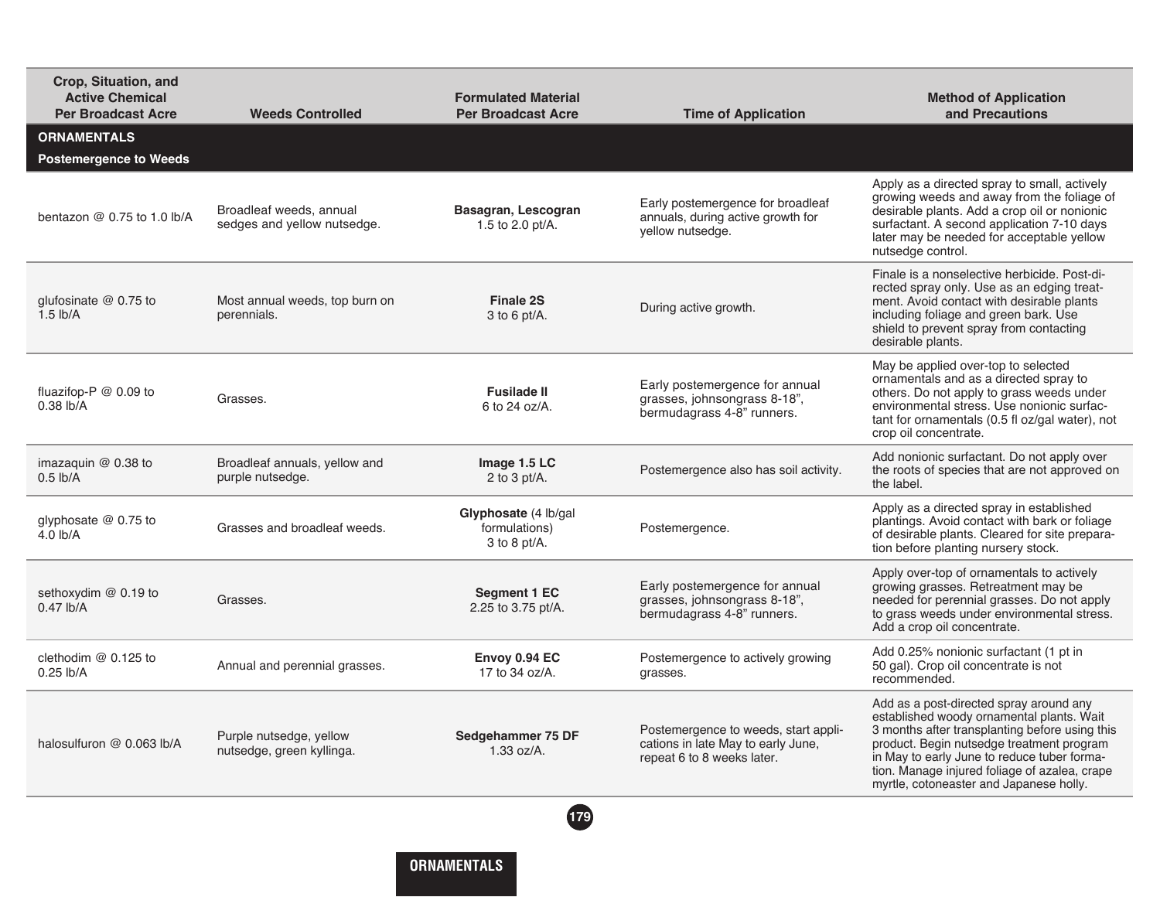| Crop, Situation, and<br><b>Active Chemical</b><br><b>Per Broadcast Acre</b> | <b>Weeds Controlled</b>                                | <b>Formulated Material</b><br><b>Per Broadcast Acre</b> | <b>Time of Application</b>                                                                               | <b>Method of Application</b><br>and Precautions                                                                                                                                                                                                                                                                                |
|-----------------------------------------------------------------------------|--------------------------------------------------------|---------------------------------------------------------|----------------------------------------------------------------------------------------------------------|--------------------------------------------------------------------------------------------------------------------------------------------------------------------------------------------------------------------------------------------------------------------------------------------------------------------------------|
| <b>ORNAMENTALS</b><br><b>Postemergence to Weeds</b>                         |                                                        |                                                         |                                                                                                          |                                                                                                                                                                                                                                                                                                                                |
| bentazon $@0.75$ to 1.0 lb/A                                                | Broadleaf weeds, annual<br>sedges and yellow nutsedge. | Basagran, Lescogran<br>1.5 to 2.0 pt/A.                 | Early postemergence for broadleaf<br>annuals, during active growth for<br>yellow nutsedge.               | Apply as a directed spray to small, actively<br>growing weeds and away from the foliage of<br>desirable plants. Add a crop oil or nonionic<br>surfactant. A second application 7-10 days<br>later may be needed for acceptable yellow<br>nutsedge control.                                                                     |
| glufosinate $@$ 0.75 to<br>$1.5$ lb/A                                       | Most annual weeds, top burn on<br>perennials.          | <b>Finale 2S</b><br>$3$ to 6 pt/A.                      | During active growth.                                                                                    | Finale is a nonselective herbicide. Post-di-<br>rected spray only. Use as an edging treat-<br>ment. Avoid contact with desirable plants<br>including foliage and green bark. Use<br>shield to prevent spray from contacting<br>desirable plants.                                                                               |
| fluazifop-P @ 0.09 to<br>$0.38$ lb/A                                        | Grasses.                                               | <b>Fusilade II</b><br>6 to 24 oz/A.                     | Early postemergence for annual<br>grasses, johnsongrass 8-18",<br>bermudagrass 4-8" runners.             | May be applied over-top to selected<br>ornamentals and as a directed spray to<br>others. Do not apply to grass weeds under<br>environmental stress. Use nonionic surfac-<br>tant for ornamentals (0.5 fl oz/gal water), not<br>crop oil concentrate.                                                                           |
| imazaguin $@$ 0.38 to<br>$0.5$ lb/A                                         | Broadleaf annuals, yellow and<br>purple nutsedge.      | Image 1.5 LC<br>2 to 3 pt/ $A$ .                        | Postemergence also has soil activity.                                                                    | Add nonionic surfactant. Do not apply over<br>the roots of species that are not approved on<br>the label.                                                                                                                                                                                                                      |
| glyphosate $@$ 0.75 to<br>4.0 lb/A                                          | Grasses and broadleaf weeds.                           | Glyphosate (4 lb/gal<br>formulations)<br>$3$ to 8 pt/A. | Postemergence.                                                                                           | Apply as a directed spray in established<br>plantings. Avoid contact with bark or foliage<br>of desirable plants. Cleared for site prepara-<br>tion before planting nursery stock.                                                                                                                                             |
| sethoxydim $@$ 0.19 to<br>$0.47$ lb/A                                       | Grasses.                                               | Segment 1 EC<br>2.25 to 3.75 pt/A.                      | Early postemergence for annual<br>grasses, johnsongrass 8-18",<br>bermudagrass 4-8" runners.             | Apply over-top of ornamentals to actively<br>growing grasses. Retreatment may be<br>needed for perennial grasses. Do not apply<br>to grass weeds under environmental stress.<br>Add a crop oil concentrate.                                                                                                                    |
| clethodim @ 0.125 to<br>$0.25$ lb/A                                         | Annual and perennial grasses.                          | Envoy 0.94 EC<br>17 to 34 oz/A.                         | Postemergence to actively growing<br>grasses.                                                            | Add 0.25% nonionic surfactant (1 pt in<br>50 gal). Crop oil concentrate is not<br>recommended.                                                                                                                                                                                                                                 |
| halosulfuron @ 0.063 lb/A                                                   | Purple nutsedge, yellow<br>nutsedge, green kyllinga.   | Sedgehammer 75 DF<br>1.33 oz/A.                         | Postemergence to weeds, start appli-<br>cations in late May to early June,<br>repeat 6 to 8 weeks later. | Add as a post-directed spray around any<br>established woody ornamental plants. Wait<br>3 months after transplanting before using this<br>product. Begin nutsedge treatment program<br>in May to early June to reduce tuber forma-<br>tion. Manage injured foliage of azalea, crape<br>myrtle, cotoneaster and Japanese holly. |
|                                                                             |                                                        | (179)                                                   |                                                                                                          |                                                                                                                                                                                                                                                                                                                                |